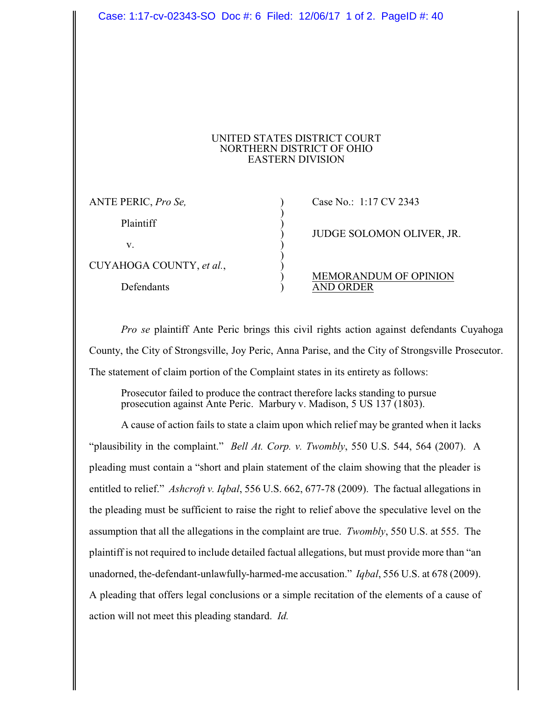## UNITED STATES DISTRICT COURT NORTHERN DISTRICT OF OHIO EASTERN DIVISION

)

)

ANTE PERIC, *Pro Se,* ) Case No.: 1:17 CV 2343

Plaintiff )

v. )

CUYAHOGA COUNTY, *et al.*, )

) JUDGE SOLOMON OLIVER, JR.

## ) MEMORANDUM OF OPINION Defendants ) AND ORDER

*Pro se* plaintiff Ante Peric brings this civil rights action against defendants Cuyahoga County, the City of Strongsville, Joy Peric, Anna Parise, and the City of Strongsville Prosecutor. The statement of claim portion of the Complaint states in its entirety as follows:

Prosecutor failed to produce the contract therefore lacks standing to pursue prosecution against Ante Peric. Marbury v. Madison, 5 US 137 (1803).

A cause of action fails to state a claim upon which relief may be granted when it lacks "plausibility in the complaint." *Bell At. Corp. v. Twombly*, 550 U.S. 544, 564 (2007). A pleading must contain a "short and plain statement of the claim showing that the pleader is entitled to relief." *Ashcroft v. Iqbal*, 556 U.S. 662, 677-78 (2009). The factual allegations in the pleading must be sufficient to raise the right to relief above the speculative level on the assumption that all the allegations in the complaint are true. *Twombly*, 550 U.S. at 555. The plaintiff is not required to include detailed factual allegations, but must provide more than "an unadorned, the-defendant-unlawfully-harmed-me accusation." *Iqbal*, 556 U.S. at 678 (2009). A pleading that offers legal conclusions or a simple recitation of the elements of a cause of action will not meet this pleading standard. *Id.*